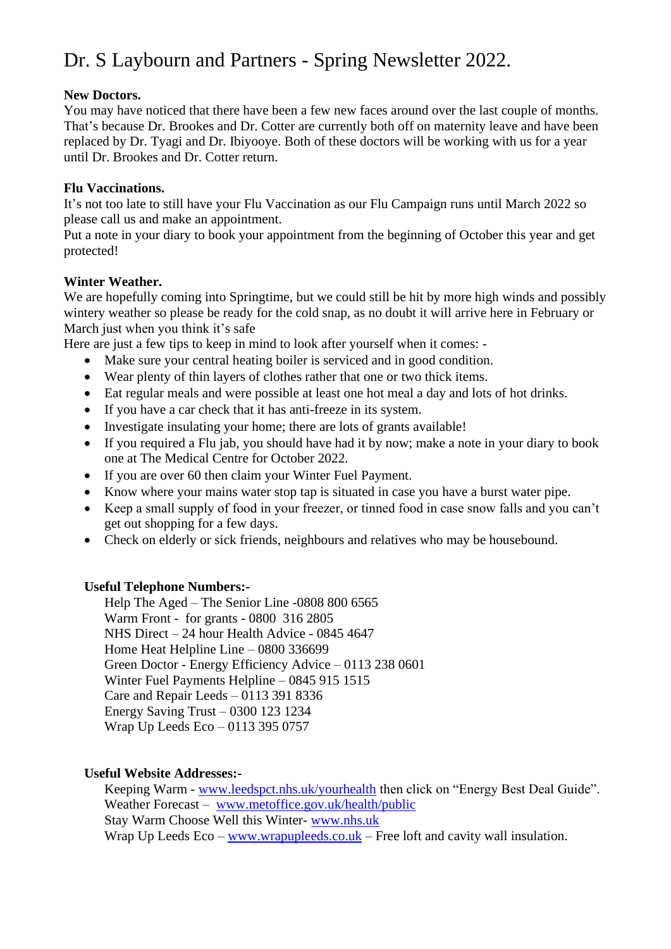# Dr. S Laybourn and Partners - Spring Newsletter 2022.

## **New Doctors.**

You may have noticed that there have been a few new faces around over the last couple of months. That's because Dr. Brookes and Dr. Cotter are currently both off on maternity leave and have been replaced by Dr. Tyagi and Dr. Ibiyooye. Both of these doctors will be working with us for a year until Dr. Brookes and Dr. Cotter return.

## **Flu Vaccinations.**

It's not too late to still have your Flu Vaccination as our Flu Campaign runs until March 2022 so please call us and make an appointment.

Put a note in your diary to book your appointment from the beginning of October this year and get protected!

## **Winter Weather.**

We are hopefully coming into Springtime, but we could still be hit by more high winds and possibly wintery weather so please be ready for the cold snap, as no doubt it will arrive here in February or March just when you think it's safe

Here are just a few tips to keep in mind to look after yourself when it comes: -

- Make sure your central heating boiler is serviced and in good condition.
- Wear plenty of thin layers of clothes rather that one or two thick items.
- Eat regular meals and were possible at least one hot meal a day and lots of hot drinks.
- If you have a car check that it has anti-freeze in its system.
- Investigate insulating your home; there are lots of grants available!
- If you required a Flu jab, you should have had it by now; make a note in your diary to book one at The Medical Centre for October 2022.
- If you are over 60 then claim your Winter Fuel Payment.
- Know where your mains water stop tap is situated in case you have a burst water pipe.
- Keep a small supply of food in your freezer, or tinned food in case snow falls and you can't get out shopping for a few days.
- Check on elderly or sick friends, neighbours and relatives who may be housebound.

# **Useful Telephone Numbers:-**

Help The Aged – The Senior Line -0808 800 6565 Warm Front - for grants - 0800 316 2805 NHS Direct – 24 hour Health Advice - 0845 4647 Home Heat Helpline Line – 0800 336699 Green Doctor - Energy Efficiency Advice – 0113 238 0601 Winter Fuel Payments Helpline – 0845 915 1515 Care and Repair Leeds – 0113 391 8336 Energy Saving Trust – 0300 123 1234 Wrap Up Leeds Eco – 0113 395 0757

## **Useful Website Addresses:-**

Keeping Warm - [www.leedspct.nhs.uk/yourhealth](http://www.leedspct.nhs.uk/yourhealth) then click on "Energy Best Deal Guide". Weather Forecast – [www.metoffice.gov.uk/health/public](http://www.metoffice.gov.uk/health/public) Stay Warm Choose Well this Winter- [www.nhs.uk](http://www.nhs.uk/) Wrap Up Leeds Eco – [www.wrapupleeds.co.uk](http://www.wrapupleeds.co.uk/) – Free loft and cavity wall insulation.